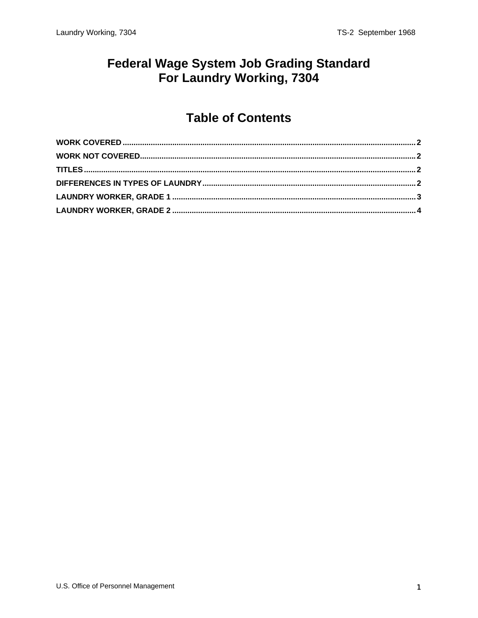#### **Federal Wage System Job Grading Standard** For Laundry Working, 7304

#### **Table of Contents**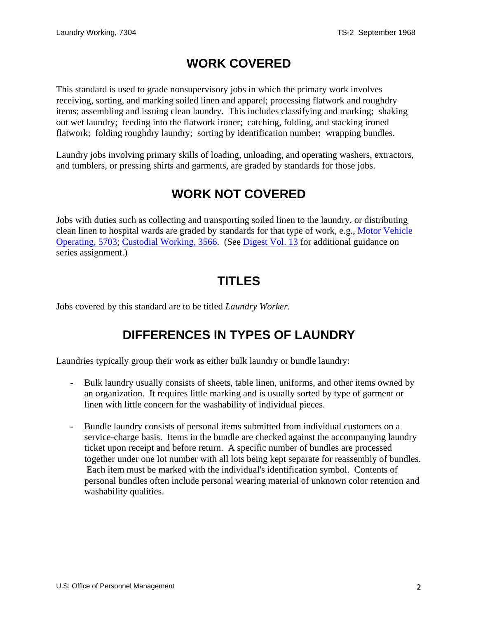# **WORK COVERED**

<span id="page-1-0"></span>This standard is used to grade nonsupervisory jobs in which the primary work involves receiving, sorting, and marking soiled linen and apparel; processing flatwork and roughdry items; assembling and issuing clean laundry. This includes classifying and marking; shaking out wet laundry; feeding into the flatwork ironer; catching, folding, and stacking ironed flatwork; folding roughdry laundry; sorting by identification number; wrapping bundles.

Laundry jobs involving primary skills of loading, unloading, and operating washers, extractors, and tumblers, or pressing shirts and garments, are graded by standards for those jobs.

# **WORK NOT COVERED**

Jobs with duties such as collecting and transporting soiled linen to the laundry, or distributing clean linen to hospital wards are graded by standards for that type of work, e.g., Motor Vehicle Operating, 5703; Custodial Working, 3566. (See [Digest Vol. 13](http://www.opm.gov/classapp/digests/digest13.pdf) for additional guidance on series assignment.)

## **TITLES**

Jobs covered by this standard are to be titled *Laundry Worker*.

# **DIFFERENCES IN TYPES OF LAUNDRY**

Laundries typically group their work as either bulk laundry or bundle laundry:

- Bulk laundry usually consists of sheets, table linen, uniforms, and other items owned by an organization. It requires little marking and is usually sorted by type of garment or linen with little concern for the washability of individual pieces.
- Bundle laundry consists of personal items submitted from individual customers on a service-charge basis. Items in the bundle are checked against the accompanying laundry ticket upon receipt and before return. A specific number of bundles are processed together under one lot number with all lots being kept separate for reassembly of bundles. Each item must be marked with the individual's identification symbol. Contents of personal bundles often include personal wearing material of unknown color retention and washability qualities.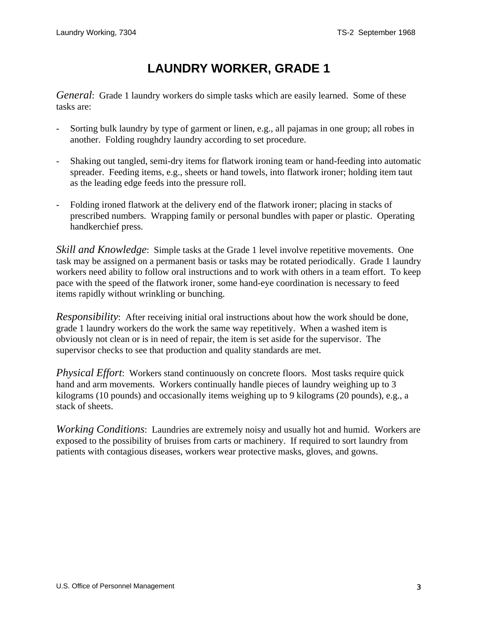# **LAUNDRY WORKER, GRADE 1**

<span id="page-2-0"></span>*General*: Grade 1 laundry workers do simple tasks which are easily learned. Some of these tasks are:

- Sorting bulk laundry by type of garment or linen, e.g., all pajamas in one group; all robes in another. Folding roughdry laundry according to set procedure.
- Shaking out tangled, semi-dry items for flatwork ironing team or hand-feeding into automatic spreader. Feeding items, e.g., sheets or hand towels, into flatwork ironer; holding item taut as the leading edge feeds into the pressure roll.
- Folding ironed flatwork at the delivery end of the flatwork ironer; placing in stacks of prescribed numbers. Wrapping family or personal bundles with paper or plastic. Operating handkerchief press.

*Skill and Knowledge*: Simple tasks at the Grade 1 level involve repetitive movements. One task may be assigned on a permanent basis or tasks may be rotated periodically. Grade 1 laundry workers need ability to follow oral instructions and to work with others in a team effort. To keep pace with the speed of the flatwork ironer, some hand-eye coordination is necessary to feed items rapidly without wrinkling or bunching.

*Responsibility*: After receiving initial oral instructions about how the work should be done, grade 1 laundry workers do the work the same way repetitively. When a washed item is obviously not clean or is in need of repair, the item is set aside for the supervisor. The supervisor checks to see that production and quality standards are met.

*Physical Effort*: Workers stand continuously on concrete floors. Most tasks require quick hand and arm movements. Workers continually handle pieces of laundry weighing up to 3 kilograms (10 pounds) and occasionally items weighing up to 9 kilograms (20 pounds), e.g., a stack of sheets.

*Working Conditions*: Laundries are extremely noisy and usually hot and humid. Workers are exposed to the possibility of bruises from carts or machinery. If required to sort laundry from patients with contagious diseases, workers wear protective masks, gloves, and gowns.